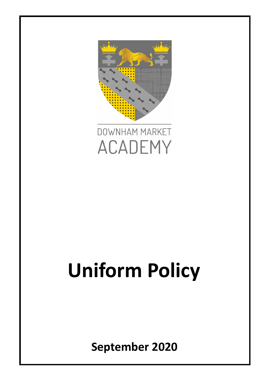



# **Uniform Policy**

**September 2020**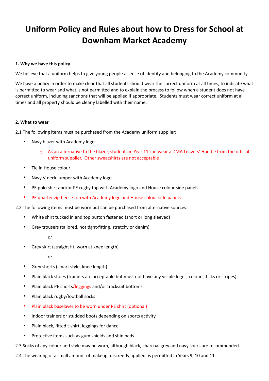# **Uniform Policy and Rules about how to Dress for School at Downham Market Academy**

#### **1. Why we have this policy**

We believe that a uniform helps to give young people a sense of identity and belonging to the Academy community.

We have a policy in order to make clear that all students should wear the correct uniform at all times, to indicate what is permitted to wear and what is not permitted and to explain the process to follow when a student does not have correct uniform, including sanctions that will be applied if appropriate. Students must wear correct uniform at all times and all property should be clearly labelled with their name.

#### **2. What to wear**

2.1 The following items must be purchased from the Academy uniform supplier:

- Navy blazer with Academy logo
	- $\circ$  As an alternative to the blazer, students in Year 11 can wear a DMA Leavers' Hoodie from the official uniform supplier. Other sweatshirts are not acceptable
- Tie in House colour
- Navy V-neck jumper with Academy logo
- PE polo shirt and/or PE rugby top with Academy logo and House colour side panels
- PE quarter zip fleece top with Academy logo and House colour side panels
- 2.2 The following items must be worn but can be purchased from alternative sources:
	- White shirt tucked in and top button fastened (short or long sleeved)
	- Grey trousers (tailored, not tight-fitting, stretchy or denim)

*or*

• Grey skirt (straight fit, worn at knee length)

*or*

- Grey shorts (smart style, knee length)
- Plain black shoes (trainers are acceptable but must not have any visible logos, colours, ticks or stripes)
- Plain black PE shorts/leggings and/or tracksuit bottoms
- Plain black rugby/football socks
- Plain black baselayer to be worn under PE shirt (optional)
- Indoor trainers or studded boots depending on sports activity
- Plain black, fitted t-shirt, leggings for dance
- Protective items such as gum shields and shin pads

2.3 Socks of any colour and style may be worn, although black, charcoal grey and navy socks are recommended.

2.4 The wearing of a small amount of makeup, discreetly applied, is permitted in Years 9, 10 and 11.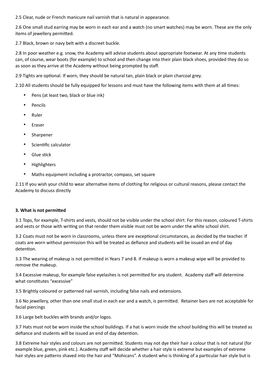2.5 Clear, nude or French manicure nail varnish that is natural in appearance.

2.6 One small stud earring may be worn in each ear and a watch (no smart watches) may be worn. These are the only items of jewellery permitted.

2.7 Black, brown or navy belt with a discreet buckle.

2.8 In poor weather e.g. snow, the Academy will advise students about appropriate footwear. At any time students can, of course, wear boots (for example) to school and then change into their plain black shoes, provided they do so as soon as they arrive at the Academy without being prompted by staff.

2.9 Tights are optional. If worn, they should be natural tan, plain black or plain charcoal grey.

2.10 All students should be fully equipped for lessons and must have the following items with them at all times:

- Pens (at least two, black or blue ink)
- **Pencils**
- Ruler
- **Eraser**
- **Sharpener**
- Scientific calculator
- Glue stick
- Highlighters
- Maths equipment including a protractor, compass, set square

2.11 If you wish your child to wear alternative items of clothing for religious or cultural reasons, please contact the Academy to discuss directly

### **3. What is not permitted**

3.1 Tops, for example, T-shirts and vests, should not be visible under the school shirt. For this reason, coloured T-shirts and vests or those with writing on that render them visible must not be worn under the white school shirt.

3.2 Coats must not be worn in classrooms, unless there are exceptional circumstances, as decided by the teacher. If coats are worn without permission this will be treated as defiance and students will be issued an end of day detention.

3.3 The wearing of makeup is not permitted in Years 7 and 8. If makeup is worn a makeup wipe will be provided to remove the makeup.

3.4 Excessive makeup, for example false eyelashes is not permitted for any student. Academy staff will determine what constitutes "excessive"

3.5 Brightly coloured or patterned nail varnish, including false nails and extensions.

3.6 No jewellery, other than one small stud in each ear and a watch, is permitted. Retainer bars are not acceptable for facial piercings

3.6 Large belt buckles with brands and/or logos.

3.7 Hats must not be worn inside the school buildings. If a hat is worn inside the school building this will be treated as defiance and students will be issued an end of day detention.

3.8 Extreme hair styles and colours are not permitted. Students may not dye their hair a colour that is not natural (for example blue, green, pink etc.). Academy staff will decide whether a hair style is extreme but examples of extreme hair styles are patterns shaved into the hair and "Mohicans". A student who is thinking of a particular hair style but is